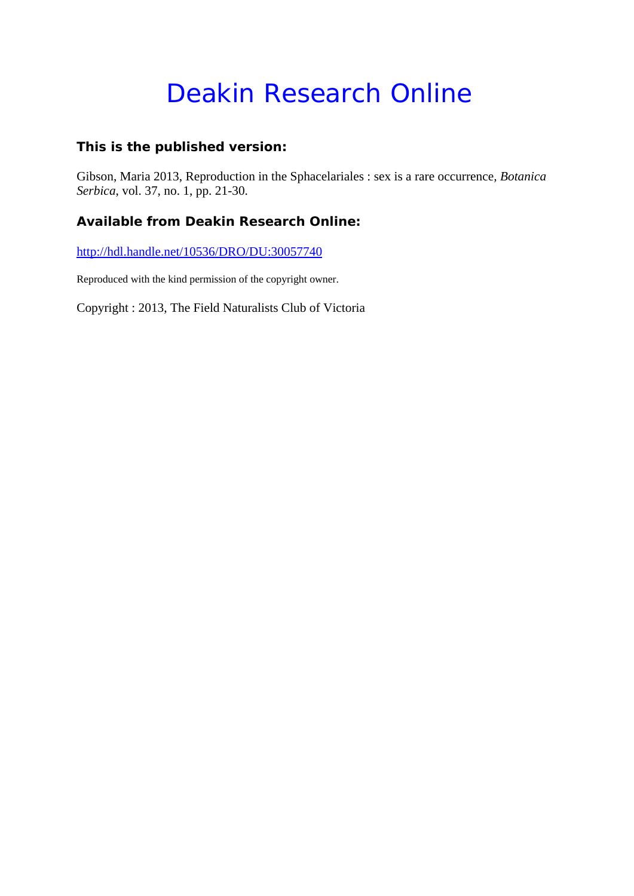# Deakin Research Online

### **This is the published version:**

Gibson, Maria 2013, Reproduction in the Sphacelariales : sex is a rare occurrence*, Botanica Serbica*, vol. 37, no. 1, pp. 21-30.

### **Available from Deakin Research Online:**

http://hdl.handle.net/10536/DRO/DU:30057740

Reproduced with the kind permission of the copyright owner.

Copyright : 2013, The Field Naturalists Club of Victoria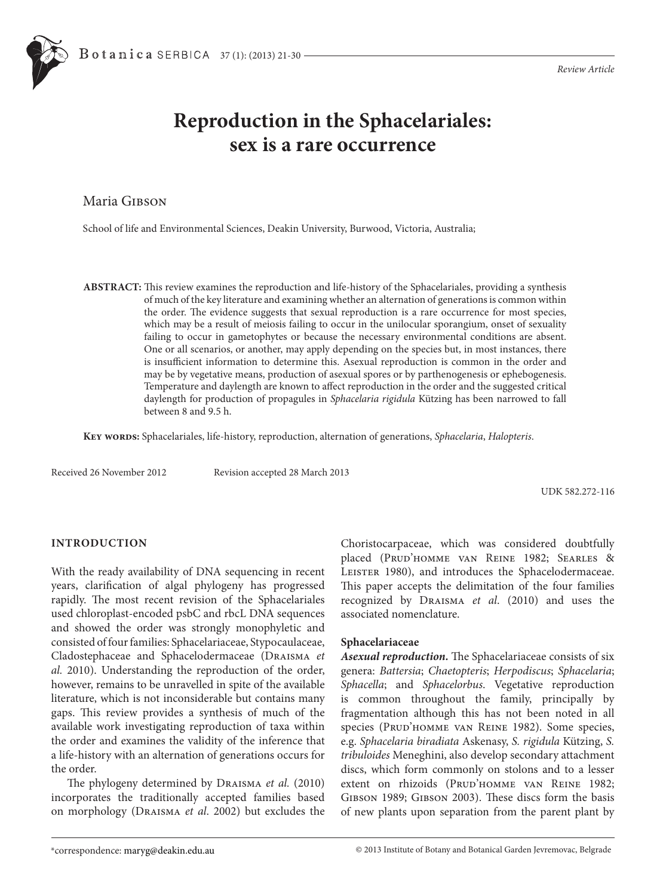## **Reproduction in the Sphacelariales: sex is a rare occurrence**

Maria GIBSON

School of life and Environmental Sciences, Deakin University, Burwood, Victoria, Australia;

**ABSTRACT:** This review examines the reproduction and life-history of the Sphacelariales, providing a synthesis of much of the key literature and examining whether an alternation of generations is common within the order. The evidence suggests that sexual reproduction is a rare occurrence for most species, which may be a result of meiosis failing to occur in the unilocular sporangium, onset of sexuality failing to occur in gametophytes or because the necessary environmental conditions are absent. One or all scenarios, or another, may apply depending on the species but, in most instances, there is insufficient information to determine this. Asexual reproduction is common in the order and may be by vegetative means, production of asexual spores or by parthenogenesis or ephebogenesis. Temperature and daylength are known to affect reproduction in the order and the suggested critical daylength for production of propagules in *Sphacelaria rigidula* Kützing has been narrowed to fall between 8 and 9.5 h.

**Key words:** Sphacelariales, life-history, reproduction, alternation of generations, *Sphacelaria*, *Halopteris*.

Received 26 November 2012 Revision accepted 28 March 2013

UDK 582.272-116

#### **INTRODUCTION**

With the ready availability of DNA sequencing in recent years, clarification of algal phylogeny has progressed rapidly. The most recent revision of the Sphacelariales used chloroplast-encoded psbC and rbcL DNA sequences and showed the order was strongly monophyletic and consisted of four families: Sphacelariaceae, Stypocaulaceae, Cladostephaceae and Sphacelodermaceae (Draisma *et al.* 2010). Understanding the reproduction of the order, however, remains to be unravelled in spite of the available literature, which is not inconsiderable but contains many gaps. This review provides a synthesis of much of the available work investigating reproduction of taxa within the order and examines the validity of the inference that a life-history with an alternation of generations occurs for the order.

The phylogeny determined by Draisma *et al.* (2010) incorporates the traditionally accepted families based on morphology (Draisma *et al*. 2002) but excludes the Choristocarpaceae, which was considered doubtfully placed (Prud'homme van Reine 1982; Searles & LEISTER 1980), and introduces the Sphacelodermaceae. This paper accepts the delimitation of the four families recognized by Draisma *et al*. (2010) and uses the associated nomenclature.

#### **Sphacelariaceae**

*Asexual reproduction.* The Sphacelariaceae consists of six genera: *Battersia*; *Chaetopteris*; *Herpodiscus*; *Sphacelaria*; *Sphacella*; and *Sphacelorbus*. Vegetative reproduction is common throughout the family, principally by fragmentation although this has not been noted in all species (PRUD'HOMME VAN REINE 1982). Some species, e.g. *Sphacelaria biradiata* Askenasy, *S. rigidula* Kützing, *S. tribuloides* Meneghini, also develop secondary attachment discs, which form commonly on stolons and to a lesser extent on rhizoids (PRUD'HOMME VAN REINE 1982; Gibson 1989; Gibson 2003). These discs form the basis of new plants upon separation from the parent plant by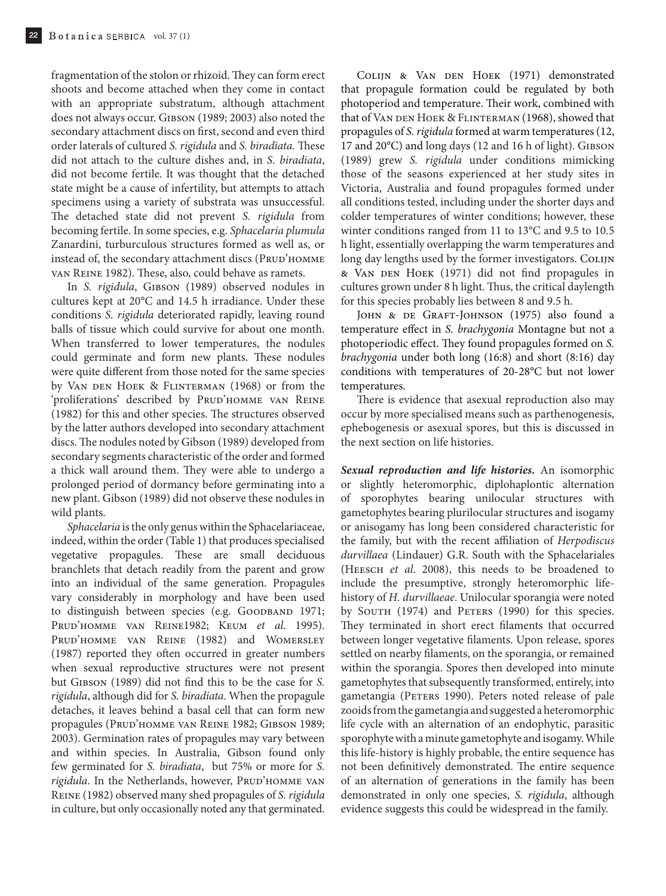fragmentation of the stolon or rhizoid. They can form erect shoots and become attached when they come in contact with an appropriate substratum, although attachment does not always occur. GIBSON (1989; 2003) also noted the secondary attachment discs on first, second and even third order laterals of cultured *S. rigidula* and *S. biradiata.* These did not attach to the culture dishes and, in *S. biradiata*, did not become fertile. It was thought that the detached state might be a cause of infertility, but attempts to attach specimens using a variety of substrata was unsuccessful. The detached state did not prevent *S. rigidula* from becoming fertile. In some species, e.g. *Sphacelaria plumula*  Zanardini, turburculous structures formed as well as, or instead of, the secondary attachment discs (PRUD'HOMME van Reine 1982). These, also, could behave as ramets.

In *S. rigidula*, GIBSON (1989) observed nodules in cultures kept at 20°C and 14.5 h irradiance. Under these conditions *S. rigidula* deteriorated rapidly, leaving round balls of tissue which could survive for about one month. When transferred to lower temperatures, the nodules could germinate and form new plants. These nodules were quite different from those noted for the same species by VAN DEN HOEK & FLINTERMAN (1968) or from the 'proliferations' described by PRUD'HOMME VAN REINE (1982) for this and other species. The structures observed by the latter authors developed into secondary attachment discs. The nodules noted by Gibson (1989) developed from secondary segments characteristic of the order and formed a thick wall around them. They were able to undergo a prolonged period of dormancy before germinating into a new plant. Gibson (1989) did not observe these nodules in wild plants.

*Sphacelaria* is the only genus within the Sphacelariaceae, indeed, within the order (Table 1) that produces specialised vegetative propagules. These are small deciduous branchlets that detach readily from the parent and grow into an individual of the same generation. Propagules vary considerably in morphology and have been used to distinguish between species (e.g. GOODBAND 1971; Prud'homme van Reine1982; Keum *et al*. 1995). Prud'homme van Reine (1982) and Womersley (1987) reported they often occurred in greater numbers when sexual reproductive structures were not present but Gibson (1989) did not find this to be the case for *S. rigidula*, although did for *S. biradiata*. When the propagule detaches, it leaves behind a basal cell that can form new propagules (Prud'homme van Reine 1982; Gibson 1989; 2003). Germination rates of propagules may vary between and within species. In Australia, Gibson found only few germinated for *S. biradiata*, but 75% or more for *S.*  rigidula. In the Netherlands, however, PRUD'HOMME VAN Reine (1982) observed many shed propagules of *S. rigidula* in culture, but only occasionally noted any that germinated.

Colijn & Van den Hoek (1971) demonstrated that propagule formation could be regulated by both photoperiod and temperature. Their work, combined with that of VAN DEN HOEK & FLINTERMAN (1968), showed that propagules of *S. rigidula* formed at warm temperatures (12, 17 and 20°C) and long days (12 and 16 h of light). GIBSON (1989) grew *S. rigidula* under conditions mimicking those of the seasons experienced at her study sites in Victoria, Australia and found propagules formed under all conditions tested, including under the shorter days and colder temperatures of winter conditions; however, these winter conditions ranged from 11 to 13°C and 9.5 to 10.5 h light, essentially overlapping the warm temperatures and long day lengths used by the former investigators. COLIJN & Van den Hoek (1971) did not find propagules in cultures grown under 8 h light. Thus, the critical daylength for this species probably lies between 8 and 9.5 h.

JOHN & DE GRAFT-JOHNSON (1975) also found a temperature effect in *S. brachygonia* Montagne but not a photoperiodic effect. They found propagules formed on *S. brachygonia* under both long (16:8) and short (8:16) day conditions with temperatures of 20-28°C but not lower temperatures.

There is evidence that asexual reproduction also may occur by more specialised means such as parthenogenesis, ephebogenesis or asexual spores, but this is discussed in the next section on life histories.

*Sexual reproduction and life histories.* An isomorphic or slightly heteromorphic, diplohaplontic alternation of sporophytes bearing unilocular structures with gametophytes bearing plurilocular structures and isogamy or anisogamy has long been considered characteristic for the family, but with the recent affiliation of *Herpodiscus durvillaea* (Lindauer) G.R. South with the Sphacelariales (Heesch *et al*. 2008), this needs to be broadened to include the presumptive, strongly heteromorphic lifehistory of *H. durvillaeae*. Unilocular sporangia were noted by SOUTH (1974) and PETERS (1990) for this species. They terminated in short erect filaments that occurred between longer vegetative filaments. Upon release, spores settled on nearby filaments, on the sporangia, or remained within the sporangia. Spores then developed into minute gametophytes that subsequently transformed, entirely, into gametangia (PETERS 1990). Peters noted release of pale zooids from the gametangia and suggested a heteromorphic life cycle with an alternation of an endophytic, parasitic sporophyte with a minute gametophyte and isogamy. While this life-history is highly probable, the entire sequence has not been definitively demonstrated. The entire sequence of an alternation of generations in the family has been demonstrated in only one species, *S. rigidula*, although evidence suggests this could be widespread in the family.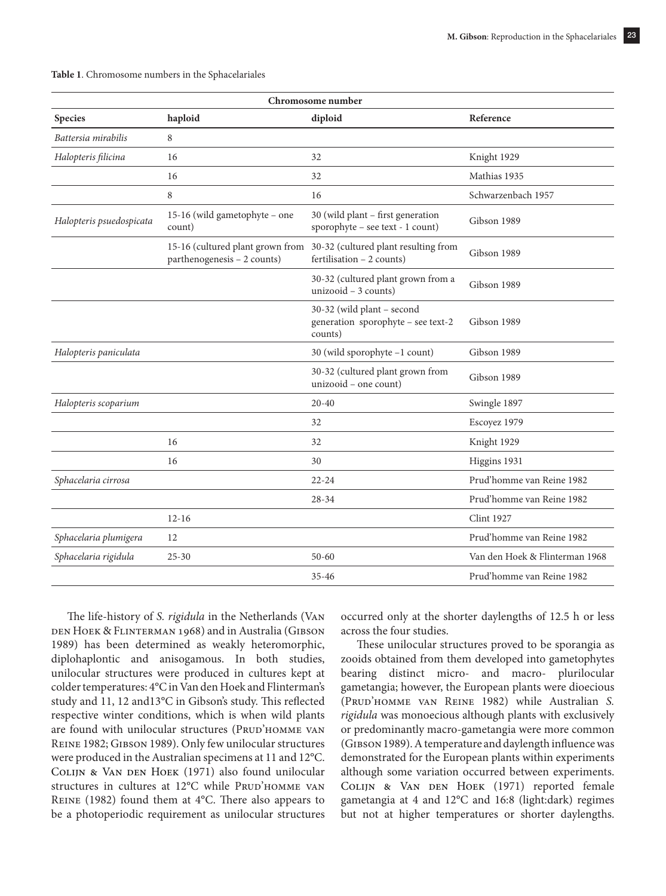| Chromosome number        |                                                                 |                                                                             |                                |
|--------------------------|-----------------------------------------------------------------|-----------------------------------------------------------------------------|--------------------------------|
| <b>Species</b>           | haploid                                                         | diploid                                                                     | Reference                      |
| Battersia mirabilis      | 8                                                               |                                                                             |                                |
| Halopteris filicina      | 16                                                              | 32                                                                          | Knight 1929                    |
|                          | 16                                                              | 32                                                                          | Mathias 1935                   |
|                          | 8                                                               | 16                                                                          | Schwarzenbach 1957             |
| Halopteris psuedospicata | 15-16 (wild gametophyte - one<br>count)                         | 30 (wild plant - first generation<br>sporophyte – see text - $1$ count)     | Gibson 1989                    |
|                          | 15-16 (cultured plant grown from<br>parthenogenesis - 2 counts) | 30-32 (cultured plant resulting from<br>fertilisation $-2$ counts)          | Gibson 1989                    |
|                          |                                                                 | 30-32 (cultured plant grown from a<br>$unizood - 3 counts)$                 | Gibson 1989                    |
|                          |                                                                 | 30-32 (wild plant - second<br>generation sporophyte - see text-2<br>counts) | Gibson 1989                    |
| Halopteris paniculata    |                                                                 | 30 (wild sporophyte -1 count)                                               | Gibson 1989                    |
|                          |                                                                 | 30-32 (cultured plant grown from<br>unizooid - one count)                   | Gibson 1989                    |
| Halopteris scoparium     |                                                                 | $20 - 40$                                                                   | Swingle 1897                   |
|                          |                                                                 | 32                                                                          | Escoyez 1979                   |
|                          | 16                                                              | 32                                                                          | Knight 1929                    |
|                          | 16                                                              | 30                                                                          | Higgins 1931                   |
| Sphacelaria cirrosa      |                                                                 | $22 - 24$                                                                   | Prud'homme van Reine 1982      |
|                          |                                                                 | $28 - 34$                                                                   | Prud'homme van Reine 1982      |
|                          | $12 - 16$                                                       |                                                                             | <b>Clint 1927</b>              |
| Sphacelaria plumigera    | 12                                                              |                                                                             | Prud'homme van Reine 1982      |
| Sphacelaria rigidula     | $25 - 30$                                                       | $50 - 60$                                                                   | Van den Hoek & Flinterman 1968 |
|                          |                                                                 | $35 - 46$                                                                   | Prud'homme van Reine 1982      |
|                          |                                                                 |                                                                             |                                |

| Table 1. Chromosome numbers in the Sphacelariales |  |  |
|---------------------------------------------------|--|--|
|---------------------------------------------------|--|--|

The life-history of *S. rigidula* in the Netherlands (Van den Hoek & Flinterman 1968) and in Australia (Gibson 1989) has been determined as weakly heteromorphic, diplohaplontic and anisogamous. In both studies, unilocular structures were produced in cultures kept at colder temperatures: 4°C in Van den Hoek and Flinterman's study and 11, 12 and13°C in Gibson's study. This reflected respective winter conditions, which is when wild plants are found with unilocular structures (PRUD'HOMME VAN Reine 1982; Gibson 1989). Only few unilocular structures were produced in the Australian specimens at 11 and 12°C. COLIJN & VAN DEN HOEK (1971) also found unilocular structures in cultures at 12°C while PRUD'HOMME VAN Reine (1982) found them at 4°C. There also appears to be a photoperiodic requirement as unilocular structures

occurred only at the shorter daylengths of 12.5 h or less across the four studies.

These unilocular structures proved to be sporangia as zooids obtained from them developed into gametophytes bearing distinct micro- and macro- plurilocular gametangia; however, the European plants were dioecious (Prud'homme van Reine 1982) while Australian *S. rigidula* was monoecious although plants with exclusively or predominantly macro-gametangia were more common (Gibson 1989). A temperature and daylength influence was demonstrated for the European plants within experiments although some variation occurred between experiments. COLIJN & VAN DEN HOEK (1971) reported female gametangia at 4 and 12°C and 16:8 (light:dark) regimes but not at higher temperatures or shorter daylengths.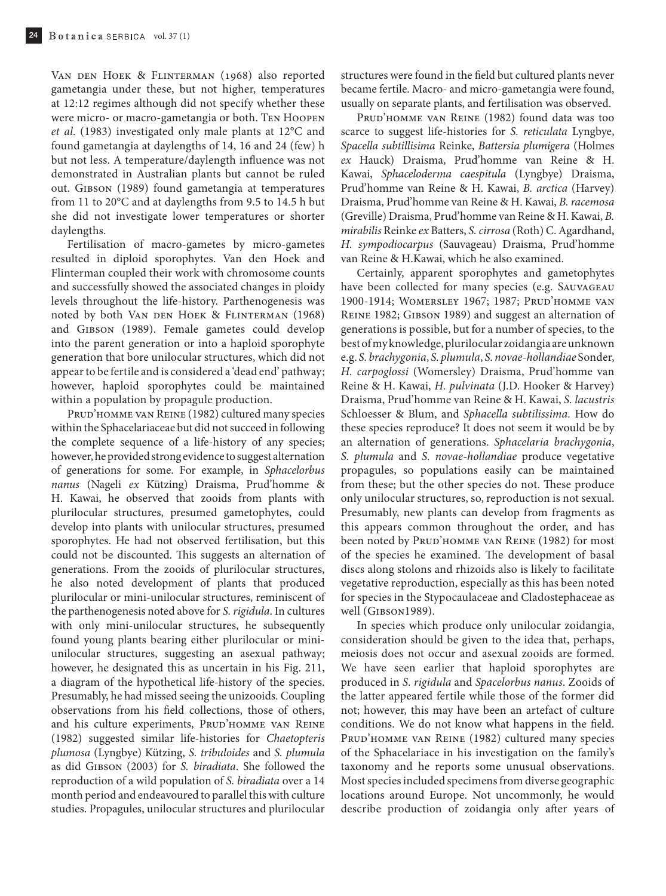Van den Hoek & Flinterman (1968) also reported gametangia under these, but not higher, temperatures at 12:12 regimes although did not specify whether these were micro- or macro-gametangia or both. Ten Hoopen *et al*. (1983) investigated only male plants at 12°C and found gametangia at daylengths of 14, 16 and 24 (few) h but not less. A temperature/daylength influence was not demonstrated in Australian plants but cannot be ruled out. Gibson (1989) found gametangia at temperatures from 11 to 20°C and at daylengths from 9.5 to 14.5 h but she did not investigate lower temperatures or shorter daylengths.

Fertilisation of macro-gametes by micro-gametes resulted in diploid sporophytes. Van den Hoek and Flinterman coupled their work with chromosome counts and successfully showed the associated changes in ploidy levels throughout the life-history. Parthenogenesis was noted by both Van den Hoek & Flinterman (1968) and Gibson (1989). Female gametes could develop into the parent generation or into a haploid sporophyte generation that bore unilocular structures, which did not appear to be fertile and is considered a 'dead end' pathway; however, haploid sporophytes could be maintained within a population by propagule production.

PRUD'HOMME VAN REINE (1982) cultured many species within the Sphacelariaceae but did not succeed in following the complete sequence of a life-history of any species; however, he provided strong evidence to suggest alternation of generations for some. For example, in *Sphacelorbus nanus* (Nageli *ex* Kützing) Draisma, Prud'homme & H. Kawai, he observed that zooids from plants with plurilocular structures, presumed gametophytes, could develop into plants with unilocular structures, presumed sporophytes. He had not observed fertilisation, but this could not be discounted. This suggests an alternation of generations. From the zooids of plurilocular structures, he also noted development of plants that produced plurilocular or mini-unilocular structures, reminiscent of the parthenogenesis noted above for *S. rigidula*. In cultures with only mini-unilocular structures, he subsequently found young plants bearing either plurilocular or miniunilocular structures, suggesting an asexual pathway; however, he designated this as uncertain in his Fig. 211, a diagram of the hypothetical life-history of the species. Presumably, he had missed seeing the unizooids. Coupling observations from his field collections, those of others, and his culture experiments, PRUD'HOMME VAN REINE (1982) suggested similar life-histories for *Chaetopteris plumosa* (Lyngbye) Kützing, *S. tribuloides* and *S. plumula* as did Gibson (2003) for *S. biradiata*. She followed the reproduction of a wild population of *S. biradiata* over a 14 month period and endeavoured to parallel this with culture studies. Propagules, unilocular structures and plurilocular

structures were found in the field but cultured plants never became fertile. Macro- and micro-gametangia were found, usually on separate plants, and fertilisation was observed.

Prud'homme van Reine (1982) found data was too scarce to suggest life-histories for *S. reticulata* Lyngbye, *Spacella subtillisima* Reinke, *Battersia plumigera* (Holmes *ex* Hauck) Draisma, Prud'homme van Reine & H. Kawai, *Sphaceloderma caespitula* (Lyngbye) Draisma, Prud'homme van Reine & H. Kawai, *B. arctica* (Harvey) Draisma, Prud'homme van Reine & H. Kawai, *B. racemosa* (Greville) Draisma, Prud'homme van Reine & H. Kawai, *B. mirabilis* Reinke *ex* Batters, *S. cirrosa* (Roth) C. Agardhand, *H. sympodiocarpus* (Sauvageau) Draisma, Prud'homme van Reine & H.Kawai, which he also examined.

Certainly, apparent sporophytes and gametophytes have been collected for many species (e.g. Sauvageau 1900-1914; Womersley 1967; 1987; Prud'homme van Reine 1982; Gibson 1989) and suggest an alternation of generations is possible, but for a number of species, to the best of my knowledge, plurilocular zoidangia are unknown e.g. *S. brachygonia*, *S. plumula*, *S. novae-hollandiae* Sonder, *H. carpoglossi* (Womersley) Draisma, Prud'homme van Reine & H. Kawai, *H. pulvinata* (J.D. Hooker & Harvey) Draisma, Prud'homme van Reine & H. Kawai, *S. lacustris*  Schloesser & Blum, and *Sphacella subtilissima.* How do these species reproduce? It does not seem it would be by an alternation of generations. *Sphacelaria brachygonia*, *S. plumula* and *S. novae-hollandiae* produce vegetative propagules, so populations easily can be maintained from these; but the other species do not. These produce only unilocular structures, so, reproduction is not sexual. Presumably, new plants can develop from fragments as this appears common throughout the order, and has been noted by PRUD'HOMME VAN REINE (1982) for most of the species he examined. The development of basal discs along stolons and rhizoids also is likely to facilitate vegetative reproduction, especially as this has been noted for species in the Stypocaulaceae and Cladostephaceae as well (GIBSON1989).

In species which produce only unilocular zoidangia, consideration should be given to the idea that, perhaps, meiosis does not occur and asexual zooids are formed. We have seen earlier that haploid sporophytes are produced in *S. rigidula* and *Spacelorbus nanus*. Zooids of the latter appeared fertile while those of the former did not; however, this may have been an artefact of culture conditions. We do not know what happens in the field. PRUD'HOMME VAN REINE (1982) cultured many species of the Sphacelariace in his investigation on the family's taxonomy and he reports some unusual observations. Most species included specimens from diverse geographic locations around Europe. Not uncommonly, he would describe production of zoidangia only after years of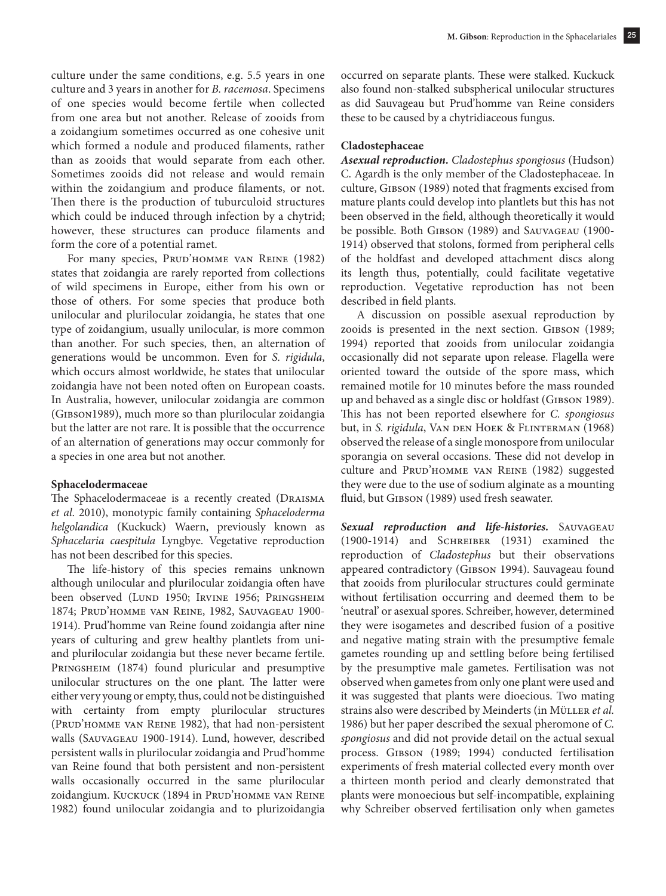culture under the same conditions, e.g. 5.5 years in one culture and 3 years in another for *B. racemosa*. Specimens of one species would become fertile when collected from one area but not another. Release of zooids from a zoidangium sometimes occurred as one cohesive unit which formed a nodule and produced filaments, rather than as zooids that would separate from each other. Sometimes zooids did not release and would remain within the zoidangium and produce filaments, or not. Then there is the production of tuburculoid structures which could be induced through infection by a chytrid; however, these structures can produce filaments and form the core of a potential ramet.

For many species, Prud'homme van Reine (1982) states that zoidangia are rarely reported from collections of wild specimens in Europe, either from his own or those of others. For some species that produce both unilocular and plurilocular zoidangia, he states that one type of zoidangium, usually unilocular, is more common than another. For such species, then, an alternation of generations would be uncommon. Even for *S. rigidula*, which occurs almost worldwide, he states that unilocular zoidangia have not been noted often on European coasts. In Australia, however, unilocular zoidangia are common (Gibson1989), much more so than plurilocular zoidangia but the latter are not rare. It is possible that the occurrence of an alternation of generations may occur commonly for a species in one area but not another.

#### **Sphacelodermaceae**

The Sphacelodermaceae is a recently created (DRAISMA *et al*. 2010), monotypic family containing *Sphaceloderma helgolandica* (Kuckuck) Waern, previously known as *Sphacelaria caespitula* Lyngbye. Vegetative reproduction has not been described for this species.

The life-history of this species remains unknown although unilocular and plurilocular zoidangia often have been observed (LUND 1950; IRVINE 1956; PRINGSHEIM 1874; Prud'homme van Reine, 1982, Sauvageau 1900- 1914). Prud'homme van Reine found zoidangia after nine years of culturing and grew healthy plantlets from uniand plurilocular zoidangia but these never became fertile. PRINGSHEIM (1874) found pluricular and presumptive unilocular structures on the one plant. The latter were either very young or empty, thus, could not be distinguished with certainty from empty plurilocular structures (Prud'homme van Reine 1982), that had non-persistent walls (Sauvageau 1900-1914). Lund, however, described persistent walls in plurilocular zoidangia and Prud'homme van Reine found that both persistent and non-persistent walls occasionally occurred in the same plurilocular zoidangium. Kuckuck (1894 in Prud'homme van Reine 1982) found unilocular zoidangia and to plurizoidangia

occurred on separate plants. These were stalked. Kuckuck also found non-stalked subspherical unilocular structures as did Sauvageau but Prud'homme van Reine considers these to be caused by a chytridiaceous fungus.

#### **Cladostephaceae**

*Asexual reproduction. Cladostephus spongiosus* (Hudson) C. Agardh is the only member of the Cladostephaceae. In culture, Gibson (1989) noted that fragments excised from mature plants could develop into plantlets but this has not been observed in the field, although theoretically it would be possible. Both GIBSON (1989) and SAUVAGEAU (1900-1914) observed that stolons, formed from peripheral cells of the holdfast and developed attachment discs along its length thus, potentially, could facilitate vegetative reproduction. Vegetative reproduction has not been described in field plants.

A discussion on possible asexual reproduction by zooids is presented in the next section. GIBSON (1989; 1994) reported that zooids from unilocular zoidangia occasionally did not separate upon release. Flagella were oriented toward the outside of the spore mass, which remained motile for 10 minutes before the mass rounded up and behaved as a single disc or holdfast (Gibson 1989). This has not been reported elsewhere for *C. spongiosus* but, in *S. rigidula*, VAN DEN HOEK & FLINTERMAN (1968) observed the release of a single monospore from unilocular sporangia on several occasions. These did not develop in culture and PRUD'HOMME VAN REINE (1982) suggested they were due to the use of sodium alginate as a mounting fluid, but GIBSON (1989) used fresh seawater.

*Sexual reproduction and life-histories.* Sauvageau (1900-1914) and Schreiber (1931) examined the reproduction of *Cladostephus* but their observations appeared contradictory (GIBSON 1994). Sauvageau found that zooids from plurilocular structures could germinate without fertilisation occurring and deemed them to be 'neutral' or asexual spores. Schreiber, however, determined they were isogametes and described fusion of a positive and negative mating strain with the presumptive female gametes rounding up and settling before being fertilised by the presumptive male gametes. Fertilisation was not observed when gametes from only one plant were used and it was suggested that plants were dioecious. Two mating strains also were described by Meinderts (in MÜLLER et al. 1986) but her paper described the sexual pheromone of *C. spongiosus* and did not provide detail on the actual sexual process. Gibson (1989; 1994) conducted fertilisation experiments of fresh material collected every month over a thirteen month period and clearly demonstrated that plants were monoecious but self-incompatible, explaining why Schreiber observed fertilisation only when gametes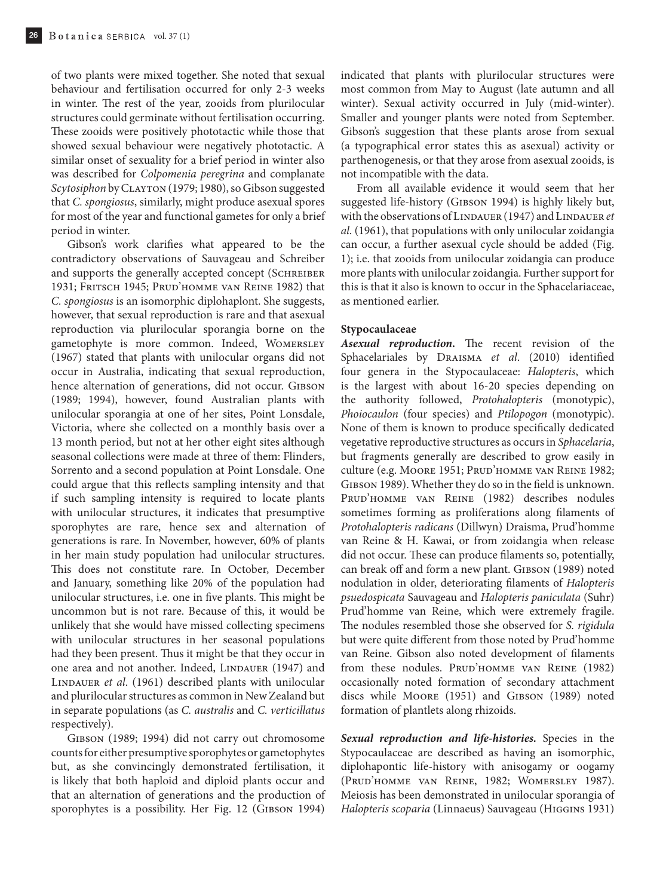of two plants were mixed together. She noted that sexual behaviour and fertilisation occurred for only 2-3 weeks in winter. The rest of the year, zooids from plurilocular structures could germinate without fertilisation occurring. These zooids were positively phototactic while those that showed sexual behaviour were negatively phototactic. A similar onset of sexuality for a brief period in winter also was described for *Colpomenia peregrina* and complanate *Scytosiphon* by Clayton (1979; 1980), so Gibson suggested that *C. spongiosus*, similarly, might produce asexual spores for most of the year and functional gametes for only a brief period in winter.

Gibson's work clarifies what appeared to be the contradictory observations of Sauvageau and Schreiber and supports the generally accepted concept (SCHREIBER 1931; Fritsch 1945; Prud'homme van Reine 1982) that *C. spongiosus* is an isomorphic diplohaplont. She suggests, however, that sexual reproduction is rare and that asexual reproduction via plurilocular sporangia borne on the gametophyte is more common. Indeed, Womersley (1967) stated that plants with unilocular organs did not occur in Australia, indicating that sexual reproduction, hence alternation of generations, did not occur. GIBSON (1989; 1994), however, found Australian plants with unilocular sporangia at one of her sites, Point Lonsdale, Victoria, where she collected on a monthly basis over a 13 month period, but not at her other eight sites although seasonal collections were made at three of them: Flinders, Sorrento and a second population at Point Lonsdale. One could argue that this reflects sampling intensity and that if such sampling intensity is required to locate plants with unilocular structures, it indicates that presumptive sporophytes are rare, hence sex and alternation of generations is rare. In November, however, 60% of plants in her main study population had unilocular structures. This does not constitute rare. In October, December and January, something like 20% of the population had unilocular structures, i.e. one in five plants. This might be uncommon but is not rare. Because of this, it would be unlikely that she would have missed collecting specimens with unilocular structures in her seasonal populations had they been present. Thus it might be that they occur in one area and not another. Indeed, LINDAUER (1947) and Lindauer *et al*. (1961) described plants with unilocular and plurilocular structures as common in New Zealand but in separate populations (as *C. australis* and *C. verticillatus* respectively).

Gibson (1989; 1994) did not carry out chromosome counts for either presumptive sporophytes or gametophytes but, as she convincingly demonstrated fertilisation, it is likely that both haploid and diploid plants occur and that an alternation of generations and the production of sporophytes is a possibility. Her Fig. 12 (GIBSON 1994)

indicated that plants with plurilocular structures were most common from May to August (late autumn and all winter). Sexual activity occurred in July (mid-winter). Smaller and younger plants were noted from September. Gibson's suggestion that these plants arose from sexual (a typographical error states this as asexual) activity or parthenogenesis, or that they arose from asexual zooids, is not incompatible with the data.

From all available evidence it would seem that her suggested life-history (GIBSON 1994) is highly likely but, with the observations of LINDAUER (1947) and LINDAUER et *al*. (1961), that populations with only unilocular zoidangia can occur, a further asexual cycle should be added (Fig. 1); i.e. that zooids from unilocular zoidangia can produce more plants with unilocular zoidangia. Further support for this is that it also is known to occur in the Sphacelariaceae, as mentioned earlier.

#### **Stypocaulaceae**

*Asexual reproduction.* The recent revision of the Sphacelariales by Draisma *et al*. (2010) identified four genera in the Stypocaulaceae: *Halopteris*, which is the largest with about 16-20 species depending on the authority followed, *Protohalopteris* (monotypic), *Phoiocaulon* (four species) and *Ptilopogon* (monotypic). None of them is known to produce specifically dedicated vegetative reproductive structures as occurs in *Sphacelaria*, but fragments generally are described to grow easily in culture (e.g. MOORE 1951; PRUD'HOMME VAN REINE 1982; GIBSON 1989). Whether they do so in the field is unknown. Prud'homme van Reine (1982) describes nodules sometimes forming as proliferations along filaments of *Protohalopteris radicans* (Dillwyn) Draisma, Prud'homme van Reine & H. Kawai, or from zoidangia when release did not occur. These can produce filaments so, potentially, can break off and form a new plant. GIBSON (1989) noted nodulation in older, deteriorating filaments of *Halopteris psuedospicata* Sauvageau and *Halopteris paniculata* (Suhr) Prud'homme van Reine, which were extremely fragile. The nodules resembled those she observed for *S. rigidula* but were quite different from those noted by Prud'homme van Reine. Gibson also noted development of filaments from these nodules. Prud'homme van Reine (1982) occasionally noted formation of secondary attachment discs while MOORE (1951) and GIBSON (1989) noted formation of plantlets along rhizoids.

*Sexual reproduction and life-histories.* Species in the Stypocaulaceae are described as having an isomorphic, diplohapontic life-history with anisogamy or oogamy (Prud'homme van Reine, 1982; Womersley 1987). Meiosis has been demonstrated in unilocular sporangia of *Halopteris scoparia* (Linnaeus) Sauvageau (Higgins 1931)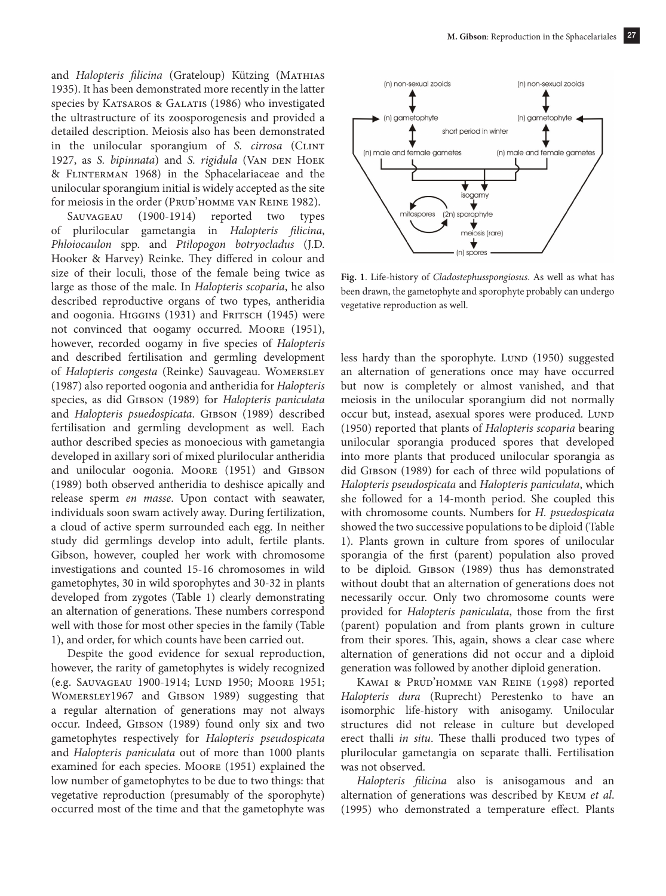and *Halopteris filicina* (Grateloup) Kützing (MATHIAS 1935). It has been demonstrated more recently in the latter species by KATSAROS & GALATIS (1986) who investigated the ultrastructure of its zoosporogenesis and provided a detailed description. Meiosis also has been demonstrated in the unilocular sporangium of *S. cirrosa* (CLINT 1927, as *S. bipinnata*) and *S. rigidula* (VAN DEN HOEK & Flinterman 1968) in the Sphacelariaceae and the unilocular sporangium initial is widely accepted as the site for meiosis in the order (PRUD'HOMME VAN REINE 1982).

Sauvageau (1900-1914) reported two types of plurilocular gametangia in *Halopteris filicina*, *Phloiocaulon* spp. and *Ptilopogon botryocladus* (J.D. Hooker & Harvey) Reinke. They differed in colour and size of their loculi, those of the female being twice as large as those of the male. In *Halopteris scoparia*, he also described reproductive organs of two types, antheridia and oogonia. HIGGINS (1931) and FRITSCH (1945) were not convinced that oogamy occurred. Moore (1951), however, recorded oogamy in five species of *Halopteris*  and described fertilisation and germling development of *Halopteris congesta* (Reinke) Sauvageau. Womersley (1987) also reported oogonia and antheridia for *Halopteris* species, as did Gibson (1989) for *Halopteris paniculata* and *Halopteris psuedospicata*. GIBSON (1989) described fertilisation and germling development as well. Each author described species as monoecious with gametangia developed in axillary sori of mixed plurilocular antheridia and unilocular oogonia. Moore (1951) and GIBSON (1989) both observed antheridia to deshisce apically and release sperm *en masse*. Upon contact with seawater, individuals soon swam actively away. During fertilization, a cloud of active sperm surrounded each egg. In neither study did germlings develop into adult, fertile plants. Gibson, however, coupled her work with chromosome investigations and counted 15-16 chromosomes in wild gametophytes, 30 in wild sporophytes and 30-32 in plants developed from zygotes (Table 1) clearly demonstrating an alternation of generations. These numbers correspond well with those for most other species in the family (Table 1), and order, for which counts have been carried out.

Despite the good evidence for sexual reproduction, however, the rarity of gametophytes is widely recognized (e.g. SAUVAGEAU 1900-1914; LUND 1950; MOORE 1951; Womersley1967 and Gibson 1989) suggesting that a regular alternation of generations may not always occur. Indeed, Gibson (1989) found only six and two gametophytes respectively for *Halopteris pseudospicata* and *Halopteris paniculata* out of more than 1000 plants examined for each species. Moore (1951) explained the low number of gametophytes to be due to two things: that vegetative reproduction (presumably of the sporophyte) occurred most of the time and that the gametophyte was



**Fig. 1**. Life-history of *Cladostephusspongiosus*. As well as what has been drawn, the gametophyte and sporophyte probably can undergo vegetative reproduction as well.

less hardy than the sporophyte. Lunp (1950) suggested an alternation of generations once may have occurred but now is completely or almost vanished, and that meiosis in the unilocular sporangium did not normally occur but, instead, asexual spores were produced. Lunp (1950) reported that plants of *Halopteris scoparia* bearing unilocular sporangia produced spores that developed into more plants that produced unilocular sporangia as did GIBSON (1989) for each of three wild populations of *Halopteris pseudospicata* and *Halopteris paniculata*, which she followed for a 14-month period. She coupled this with chromosome counts. Numbers for *H. psuedospicata* showed the two successive populations to be diploid (Table 1). Plants grown in culture from spores of unilocular sporangia of the first (parent) population also proved to be diploid. Gibson (1989) thus has demonstrated without doubt that an alternation of generations does not necessarily occur. Only two chromosome counts were provided for *Halopteris paniculata*, those from the first (parent) population and from plants grown in culture from their spores. This, again, shows a clear case where alternation of generations did not occur and a diploid generation was followed by another diploid generation.

Kawai & Prud'homme van Reine (1998) reported *Halopteris dura* (Ruprecht) Perestenko to have an isomorphic life-history with anisogamy. Unilocular structures did not release in culture but developed erect thalli *in situ*. These thalli produced two types of plurilocular gametangia on separate thalli. Fertilisation was not observed.

*Halopteris filicina* also is anisogamous and an alternation of generations was described by Keum *et al*. (1995) who demonstrated a temperature effect. Plants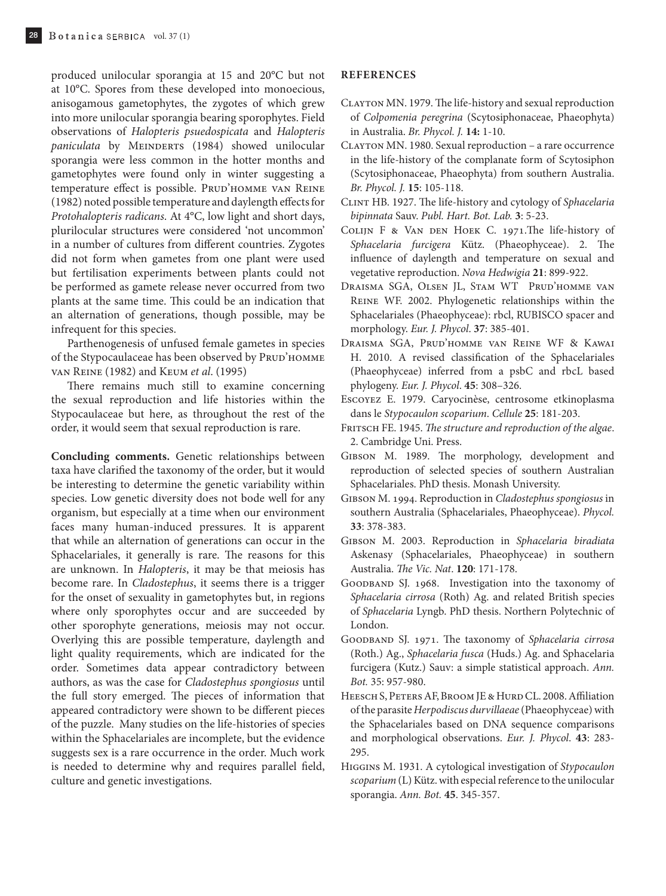produced unilocular sporangia at 15 and 20°C but not at 10°C. Spores from these developed into monoecious, anisogamous gametophytes, the zygotes of which grew into more unilocular sporangia bearing sporophytes. Field observations of *Halopteris psuedospicata* and *Halopteris*  paniculata by MEINDERTS (1984) showed unilocular sporangia were less common in the hotter months and gametophytes were found only in winter suggesting a temperature effect is possible. PRUD'HOMME VAN REINE (1982) noted possible temperature and daylength effects for *Protohalopteris radicans*. At 4°C, low light and short days, plurilocular structures were considered 'not uncommon' in a number of cultures from different countries. Zygotes did not form when gametes from one plant were used but fertilisation experiments between plants could not be performed as gamete release never occurred from two plants at the same time. This could be an indication that an alternation of generations, though possible, may be infrequent for this species.

Parthenogenesis of unfused female gametes in species of the Stypocaulaceae has been observed by PRUD'HOMME van Reine (1982) and Keum *et al*. (1995)

There remains much still to examine concerning the sexual reproduction and life histories within the Stypocaulaceae but here, as throughout the rest of the order, it would seem that sexual reproduction is rare.

**Concluding comments.** Genetic relationships between taxa have clarified the taxonomy of the order, but it would be interesting to determine the genetic variability within species. Low genetic diversity does not bode well for any organism, but especially at a time when our environment faces many human-induced pressures. It is apparent that while an alternation of generations can occur in the Sphacelariales, it generally is rare. The reasons for this are unknown. In *Halopteris*, it may be that meiosis has become rare. In *Cladostephus*, it seems there is a trigger for the onset of sexuality in gametophytes but, in regions where only sporophytes occur and are succeeded by other sporophyte generations, meiosis may not occur. Overlying this are possible temperature, daylength and light quality requirements, which are indicated for the order. Sometimes data appear contradictory between authors, as was the case for *Cladostephus spongiosus* until the full story emerged. The pieces of information that appeared contradictory were shown to be different pieces of the puzzle. Many studies on the life-histories of species within the Sphacelariales are incomplete, but the evidence suggests sex is a rare occurrence in the order. Much work is needed to determine why and requires parallel field, culture and genetic investigations.

#### **REFERENCES**

- Clayton MN. 1979. The life-history and sexual reproduction of *Colpomenia peregrina* (Scytosiphonaceae, Phaeophyta) in Australia. *Br. Phycol. J.* **14:** 1-10.
- Clayton MN. 1980. Sexual reproduction a rare occurrence in the life-history of the complanate form of Scytosiphon (Scytosiphonaceae, Phaeophyta) from southern Australia. *Br. Phycol. J.* **15**: 105-118.
- Clint HB. 1927. The life-history and cytology of *Sphacelaria bipinnata* Sauv. *Publ. Hart. Bot. Lab.* **3**: 5-23.
- Colijn F & Van den Hoek C. 1971.The life-history of *Sphacelaria furcigera* Kütz. (Phaeophyceae). 2. The influence of daylength and temperature on sexual and vegetative reproduction. *Nova Hedwigia* **21**: 899-922.
- Draisma SGA, Olsen JL, Stam WT Prud'homme van Reine WF. 2002. Phylogenetic relationships within the Sphacelariales (Phaeophyceae): rbcl, RUBISCO spacer and morphology. *Eur. J. Phycol*. **37**: 385-401.
- Draisma SGA, Prud'homme van Reine WF & Kawai H. 2010. A revised classification of the Sphacelariales (Phaeophyceae) inferred from a psbC and rbcL based phylogeny. *Eur. J. Phycol*. **45**: 308–326.
- Escoyez E. 1979. Caryocinèse, centrosome etkinoplasma dans le *Stypocaulon scoparium*. *Cellule* **25**: 181-203.
- FRITSCH FE. 1945. *The structure and reproduction of the algae*. 2. Cambridge Uni. Press.
- Gibson M. 1989. The morphology, development and reproduction of selected species of southern Australian Sphacelariales. PhD thesis. Monash University.
- Gibson M. 1994. Reproduction in *Cladostephus spongiosus* in southern Australia (Sphacelariales, Phaeophyceae). *Phycol.*  **33**: 378-383.
- Gibson M. 2003. Reproduction in *Sphacelaria biradiata*  Askenasy (Sphacelariales, Phaeophyceae) in southern Australia. *The Vic. Nat*. **120**: 171-178.
- GOODBAND SJ. 1968. Investigation into the taxonomy of *Sphacelaria cirrosa* (Roth) Ag. and related British species of *Sphacelaria* Lyngb. PhD thesis. Northern Polytechnic of London.
- Goodband SJ. 1971. The taxonomy of *Sphacelaria cirrosa* (Roth.) Ag., *Sphacelaria fusca* (Huds.) Ag. and Sphacelaria furcigera (Kutz.) Sauv: a simple statistical approach. *Ann. Bot.* 35: 957-980.
- HEESCH S, PETERS AF, BROOM JE & HURD CL. 2008. Affiliation of the parasite *Herpodiscus durvillaeae* (Phaeophyceae) with the Sphacelariales based on DNA sequence comparisons and morphological observations. *Eur. J. Phycol*. **43**: 283- 295.
- Higgins M. 1931. A cytological investigation of *Stypocaulon scoparium* (L) Kütz. with especial reference to the unilocular sporangia. *Ann. Bot.* **45**. 345-357.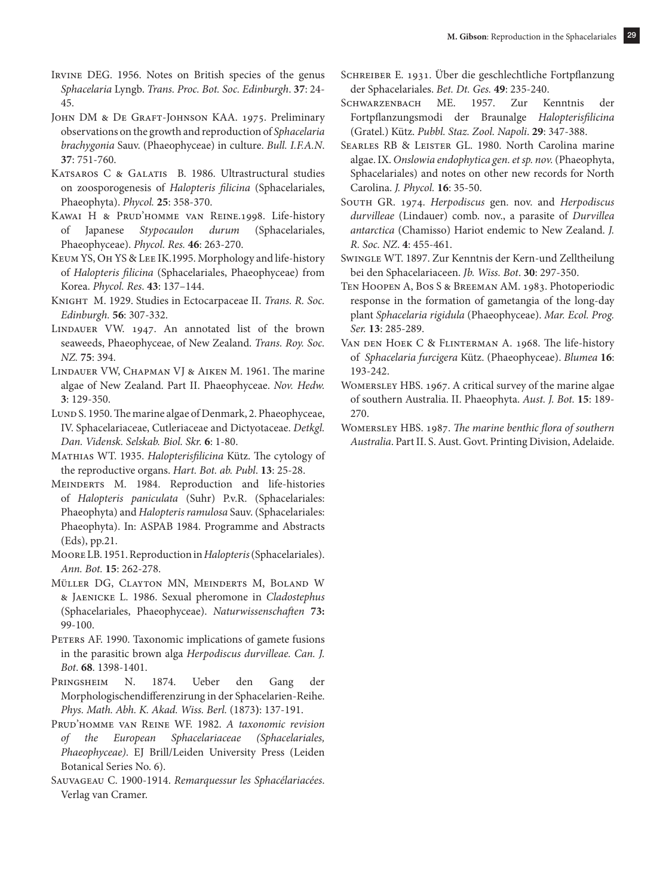- Irvine DEG. 1956. Notes on British species of the genus *Sphacelaria* Lyngb. *Trans. Proc. Bot. Soc. Edinburgh*. **37**: 24- 45.
- JOHN DM & DE GRAFT-JOHNSON KAA. 1975. Preliminary observations on the growth and reproduction of *Sphacelaria brachygonia* Sauv. (Phaeophyceae) in culture. *Bull. I.F.A.N*. **37**: 751-760.
- KATSAROS C & GALATIS B. 1986. Ultrastructural studies on zoosporogenesis of *Halopteris filicina* (Sphacelariales, Phaeophyta). *Phycol.* **25**: 358-370.
- Kawai H & Prud'homme van Reine.1998. Life-history of Japanese *Stypocaulon durum* (Sphacelariales, Phaeophyceae). *Phycol. Res.* **46**: 263-270.
- Keum YS, Oh YS & Lee IK.1995. Morphology and life-history of *Halopteris filicina* (Sphacelariales, Phaeophyceae) from Korea. *Phycol. Res*. **43**: 137–144.
- Knight M. 1929. Studies in Ectocarpaceae II. *Trans. R. Soc. Edinburgh.* **56**: 307-332.
- LINDAUER VW. 1947. An annotated list of the brown seaweeds, Phaeophyceae, of New Zealand. *Trans. Roy. Soc. NZ.* **75**: 394.
- Lindauer VW, Chapman VJ & Aiken M. 1961. The marine algae of New Zealand. Part II. Phaeophyceae. *Nov. Hedw.*  **3**: 129-350.
- Lund S. 1950. The marine algae of Denmark, 2. Phaeophyceae, IV. Sphacelariaceae, Cutleriaceae and Dictyotaceae. *Detkgl. Dan. Vidensk. Selskab. Biol. Skr.* **6**: 1-80.
- Mathias WT. 1935. *Halopterisfilicina* Kütz. The cytology of the reproductive organs. *Hart. Bot. ab. Publ*. **13**: 25-28.
- Meinderts M. 1984. Reproduction and life-histories of *Halopteris paniculata* (Suhr) P.v.R. (Sphacelariales: Phaeophyta) and *Halopteris ramulosa* Sauv. (Sphacelariales: Phaeophyta). In: ASPAB 1984. Programme and Abstracts (Eds), pp.21.
- Moore LB. 1951. Reproduction in *Halopteris* (Sphacelariales). *Ann. Bot.* **15**: 262-278.
- Müller DG, Clayton MN, Meinderts M, Boland W & Jaenicke L. 1986. Sexual pheromone in *Cladostephus* (Sphacelariales, Phaeophyceae). *Naturwissenschaften* **73:** 99-100.
- PETERS AF. 1990. Taxonomic implications of gamete fusions in the parasitic brown alga *Herpodiscus durvilleae. Can. J. Bot*. **68**. 1398-1401.
- Pringsheim N. 1874. Ueber den Gang der Morphologischendifferenzirung in der Sphacelarien-Reihe. *Phys. Math. Abh. K. Akad. Wiss. Berl.* (1873**)**: 137-191.
- Prud'homme van Reine WF. 1982. *A taxonomic revision of the European Sphacelariaceae (Sphacelariales, Phaeophyceae)*. EJ Brill/Leiden University Press (Leiden Botanical Series No. 6).
- Sauvageau C. 1900-1914. *Remarquessur les Sphacélariacées*. Verlag van Cramer.
- Schreiber E. 1931. Über die geschlechtliche Fortpflanzung der Sphacelariales. *Bet. Dt. Ges.* **49**: 235-240.
- Schwarzenbach ME. 1957. Zur Kenntnis der Fortpflanzungsmodi der Braunalge *Halopterisfilicina* (Gratel.) Kütz. *Pubbl. Staz. Zool. Napoli*. **29**: 347-388.
- SEARLES RB & LEISTER GL. 1980. North Carolina marine algae. IX. *Onslowia endophytica gen. et sp. nov.* (Phaeophyta, Sphacelariales) and notes on other new records for North Carolina. *J. Phycol.* **16**: 35-50.
- South GR. 1974. *Herpodiscus* gen. nov. and *Herpodiscus durvilleae* (Lindauer) comb. nov., a parasite of *Durvillea antarctica* (Chamisso) Hariot endemic to New Zealand. *J. R. Soc. NZ*. **4**: 455-461.
- Swingle WT. 1897. Zur Kenntnis der Kern-und Zelltheilung bei den Sphacelariaceen. *Jb. Wiss. Bot*. **30**: 297-350.
- Ten Hoopen A, Bos S & Breeman AM. 1983. Photoperiodic response in the formation of gametangia of the long-day plant *Sphacelaria rigidula* (Phaeophyceae). *Mar. Ecol. Prog. Ser.* **13**: 285-289.
- Van den Hoek C & Flinterman A. 1968. The life-history of *Sphacelaria furcigera* Kütz. (Phaeophyceae). *Blumea* **16**: 193-242.
- Womersley HBS. 1967. A critical survey of the marine algae of southern Australia. II. Phaeophyta. *Aust. J. Bot.* **15**: 189- 270.
- Womersley HBS. 1987. *The marine benthic flora of southern Australia*. Part II. S. Aust. Govt. Printing Division, Adelaide.